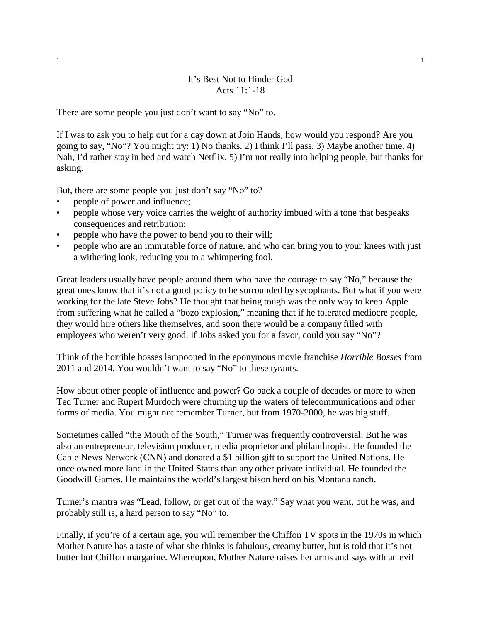## It's Best Not to Hinder God Acts 11:1-18

There are some people you just don't want to say "No" to.

If I was to ask you to help out for a day down at Join Hands, how would you respond? Are you going to say, "No"? You might try: 1) No thanks. 2) I think I'll pass. 3) Maybe another time. 4) Nah, I'd rather stay in bed and watch Netflix. 5) I'm not really into helping people, but thanks for asking.

But, there are some people you just don't say "No" to?

- people of power and influence;
- people whose very voice carries the weight of authority imbued with a tone that bespeaks consequences and retribution;
- people who have the power to bend you to their will;
- people who are an immutable force of nature, and who can bring you to your knees with just a withering look, reducing you to a whimpering fool.

Great leaders usually have people around them who have the courage to say "No," because the great ones know that it's not a good policy to be surrounded by sycophants. But what if you were working for the late Steve Jobs? He thought that being tough was the only way to keep Apple from suffering what he called a "bozo explosion," meaning that if he tolerated mediocre people, they would hire others like themselves, and soon there would be a company filled with employees who weren't very good. If Jobs asked you for a favor, could you say "No"?

Think of the horrible bosses lampooned in the eponymous movie franchise *Horrible Bosses* from 2011 and 2014. You wouldn't want to say "No" to these tyrants.

How about other people of influence and power? Go back a couple of decades or more to when Ted Turner and Rupert Murdoch were churning up the waters of telecommunications and other forms of media. You might not remember Turner, but from 1970-2000, he was big stuff.

Sometimes called "the Mouth of the South," Turner was frequently controversial. But he was also an entrepreneur, television producer, media proprietor and philanthropist. He founded the Cable News Network (CNN) and donated a \$1 billion gift to support the United Nations. He once owned more land in the United States than any other private individual. He founded the Goodwill Games. He maintains the world's largest bison herd on his Montana ranch.

Turner's mantra was "Lead, follow, or get out of the way." Say what you want, but he was, and probably still is, a hard person to say "No" to.

Finally, if you're of a certain age, you will remember the Chiffon TV spots in the 1970s in which Mother Nature has a taste of what she thinks is fabulous, creamy butter, but is told that it's not butter but Chiffon margarine. Whereupon, Mother Nature raises her arms and says with an evil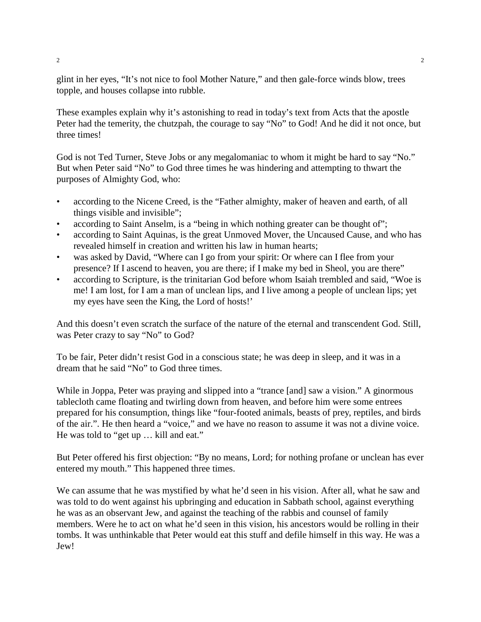glint in her eyes, "It's not nice to fool Mother Nature," and then gale-force winds blow, trees topple, and houses collapse into rubble.

These examples explain why it's astonishing to read in today's text from Acts that the apostle Peter had the temerity, the chutzpah, the courage to say "No" to God! And he did it not once, but three times!

God is not Ted Turner, Steve Jobs or any megalomaniac to whom it might be hard to say "No." But when Peter said "No" to God three times he was hindering and attempting to thwart the purposes of Almighty God, who:

- according to the Nicene Creed, is the "Father almighty, maker of heaven and earth, of all things visible and invisible";
- according to Saint Anselm, is a "being in which nothing greater can be thought of";
- according to Saint Aquinas, is the great Unmoved Mover, the Uncaused Cause, and who has revealed himself in creation and written his law in human hearts;
- was asked by David, "Where can I go from your spirit: Or where can I flee from your presence? If I ascend to heaven, you are there; if I make my bed in Sheol, you are there"
- according to Scripture, is the trinitarian God before whom Isaiah trembled and said, "Woe is me! I am lost, for I am a man of unclean lips, and I live among a people of unclean lips; yet my eyes have seen the King, the Lord of hosts!'

And this doesn't even scratch the surface of the nature of the eternal and transcendent God. Still, was Peter crazy to say "No" to God?

To be fair, Peter didn't resist God in a conscious state; he was deep in sleep, and it was in a dream that he said "No" to God three times.

While in Joppa, Peter was praying and slipped into a "trance [and] saw a vision." A ginormous tablecloth came floating and twirling down from heaven, and before him were some entrees prepared for his consumption, things like "four-footed animals, beasts of prey, reptiles, and birds of the air.". He then heard a "voice," and we have no reason to assume it was not a divine voice. He was told to "get up … kill and eat."

But Peter offered his first objection: "By no means, Lord; for nothing profane or unclean has ever entered my mouth." This happened three times.

We can assume that he was mystified by what he'd seen in his vision. After all, what he saw and was told to do went against his upbringing and education in Sabbath school, against everything he was as an observant Jew, and against the teaching of the rabbis and counsel of family members. Were he to act on what he'd seen in this vision, his ancestors would be rolling in their tombs. It was unthinkable that Peter would eat this stuff and defile himself in this way. He was a Jew!

2  $\sim$  2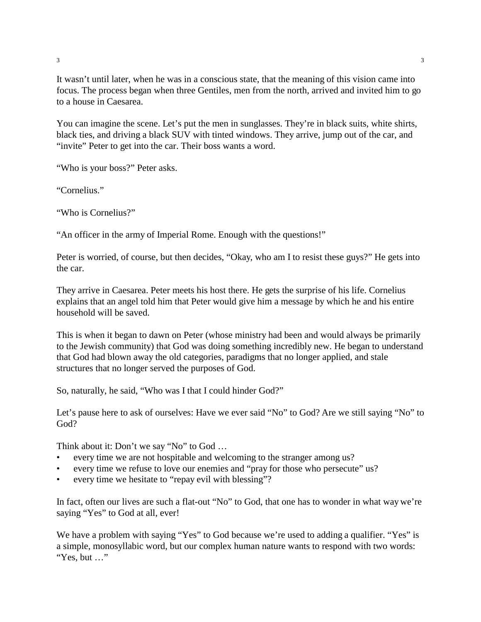It wasn't until later, when he was in a conscious state, that the meaning of this vision came into focus. The process began when three Gentiles, men from the north, arrived and invited him to go to a house in Caesarea.

You can imagine the scene. Let's put the men in sunglasses. They're in black suits, white shirts, black ties, and driving a black SUV with tinted windows. They arrive, jump out of the car, and "invite" Peter to get into the car. Their boss wants a word.

"Who is your boss?" Peter asks.

"Cornelius."

"Who is Cornelius?"

"An officer in the army of Imperial Rome. Enough with the questions!"

Peter is worried, of course, but then decides, "Okay, who am I to resist these guys?" He gets into the car.

They arrive in Caesarea. Peter meets his host there. He gets the surprise of his life. Cornelius explains that an angel told him that Peter would give him a message by which he and his entire household will be saved.

This is when it began to dawn on Peter (whose ministry had been and would always be primarily to the Jewish community) that God was doing something incredibly new. He began to understand that God had blown away the old categories, paradigms that no longer applied, and stale structures that no longer served the purposes of God.

So, naturally, he said, "Who was I that I could hinder God?"

Let's pause here to ask of ourselves: Have we ever said "No" to God? Are we still saying "No" to God?

Think about it: Don't we say "No" to God …

- every time we are not hospitable and welcoming to the stranger among us?
- every time we refuse to love our enemies and "pray for those who persecute" us?
- every time we hesitate to "repay evil with blessing"?

In fact, often our lives are such a flat-out "No" to God, that one has to wonder in what way we're saying "Yes" to God at all, ever!

We have a problem with saying "Yes" to God because we're used to adding a qualifier. "Yes" is a simple, monosyllabic word, but our complex human nature wants to respond with two words: "Yes, but …"